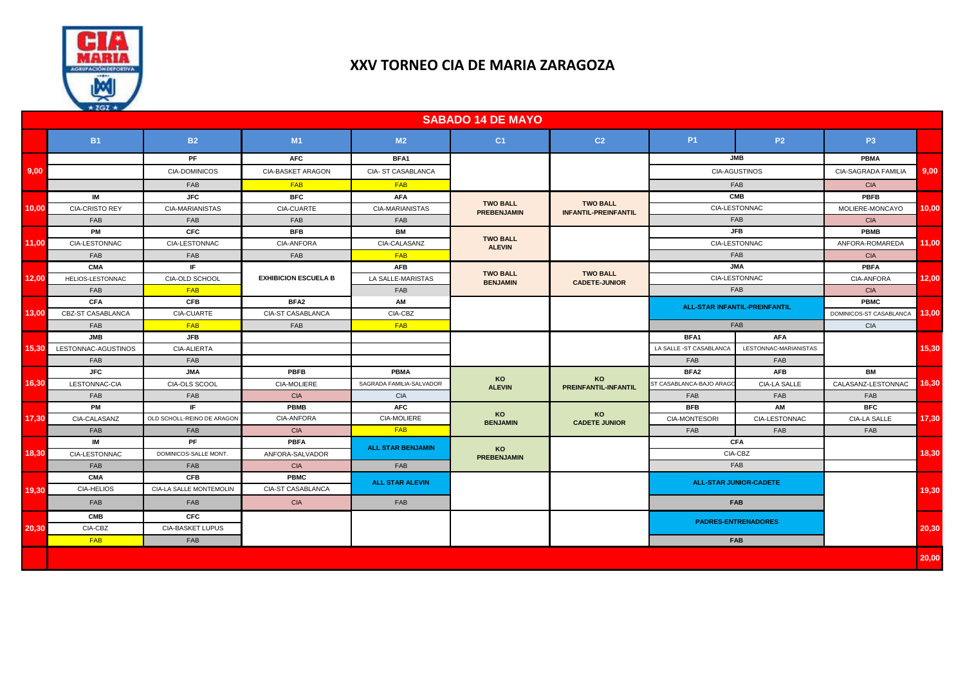

## **XXV TORNEO CIA DE MARIA ZARAGOZA**

|       | $\lambda$ x lul x $\lambda$ |                            |                             |                          | <b>SABADO 14 DE MAYO</b>              |                                                |                                                  |                       |                            |       |
|-------|-----------------------------|----------------------------|-----------------------------|--------------------------|---------------------------------------|------------------------------------------------|--------------------------------------------------|-----------------------|----------------------------|-------|
|       | <b>B1</b>                   | <b>B2</b>                  | M1                          | M <sub>2</sub>           | C <sub>1</sub>                        | C <sub>2</sub>                                 | <b>P1</b>                                        | <b>P2</b>             | P3                         |       |
| 9,00  |                             | PF                         | <b>AFC</b>                  | BFA1                     |                                       |                                                | <b>JMB</b><br><b>CIA-AGUSTINOS</b><br><b>FAB</b> |                       | <b>PBMA</b>                | 9.00  |
|       |                             | <b>CIA-DOMINICOS</b>       | CIA-BASKET ARAGON           | CIA-ST CASABLANCA        |                                       |                                                |                                                  |                       | <b>CIA-SAGRADA FAMILIA</b> |       |
|       |                             | <b>FAB</b>                 | <b>FAB</b>                  | <b>FAB</b>               |                                       |                                                |                                                  |                       | <b>CIA</b>                 |       |
| 10,00 | <b>IM</b>                   | <b>JFC</b>                 | <b>BFC</b>                  | <b>AFA</b>               |                                       | <b>TWO BALL</b><br><b>INFANTIL-PREINFANTIL</b> | <b>CMB</b>                                       |                       | PBFB                       |       |
|       | CIA-CRISTO REY              | CIA-MARIANISTAS            | CIA-CUARTE                  | CIA-MARIANISTAS          | <b>TWO BALL</b><br><b>PREBENJAMIN</b> |                                                | CIA-LESTONNAC                                    |                       | MOLIERE-MONCAYO            | 10,00 |
|       | FAB                         | FAB                        | FAB                         | FAB                      |                                       |                                                | FAB                                              |                       | <b>CIA</b>                 |       |
| 11,00 | PM                          | <b>CFC</b>                 | <b>BFB</b>                  | BM                       |                                       |                                                | <b>JFB</b>                                       |                       | <b>PBMB</b>                | 11,00 |
|       | CIA-LESTONNAC               | CIA-LESTONNAC              | CIA-ANFORA                  | CIA-CALASANZ             | <b>TWO BALL</b><br><b>ALEVIN</b>      |                                                | CIA-LESTONNAC                                    |                       | ANFORA-ROMAREDA            |       |
|       | FAB                         | FAB                        | FAB                         | <b>FAB</b>               |                                       |                                                | <b>FAB</b>                                       |                       | <b>CIA</b>                 |       |
| 12,00 | <b>CMA</b>                  | IF.                        |                             | <b>AFB</b>               |                                       | <b>TWO BALL</b><br><b>CADETE-JUNIOR</b>        | <b>JMA</b>                                       |                       | <b>PBFA</b>                | 12,00 |
|       | HELIOS-LESTONNAC            | CIA-OLD SCHOOL             | <b>EXHIBICION ESCUELA B</b> | LA SALLE-MARISTAS        | <b>TWO BALL</b><br><b>BENJAMIN</b>    |                                                | CIA-LESTONNAC                                    |                       | CIA-ANFORA                 |       |
|       | FAB                         | FAB                        |                             | FAB                      |                                       |                                                | <b>FAB</b>                                       |                       | <b>CIA</b>                 |       |
| 13,00 | <b>CFA</b>                  | <b>CFB</b>                 | BFA <sub>2</sub>            | AM                       |                                       |                                                | <b>ALL-STAR INFANTIL-PREINFANTIL</b><br>FAB      |                       | PBMC                       | 13.00 |
|       | CBZ-ST CASABLANCA           | CIA-CUARTE                 | CIA-ST CASABLANCA           | CIA-CBZ                  |                                       |                                                |                                                  |                       | DOMINICOS-ST CASABLANCA    |       |
|       | <b>FAB</b>                  | <b>FAB</b>                 | FAB                         | <b>FAB</b>               |                                       |                                                |                                                  |                       | <b>CIA</b>                 |       |
|       | <b>JMB</b>                  | <b>JFB</b>                 |                             |                          |                                       |                                                | BFA1                                             | <b>AFA</b>            |                            | 15,30 |
| 15,30 | LESTONNAC-AGUSTINOS         | CIA-ALIERTA                |                             |                          |                                       |                                                | LA SALLE -ST CASABLANCA                          | LESTONNAC-MARIANISTAS |                            |       |
|       | <b>FAB</b>                  | FAB                        |                             |                          |                                       |                                                | FAB                                              | FAB                   |                            |       |
|       | <b>JFC</b>                  | <b>JMA</b>                 | <b>PBFB</b>                 | <b>PBMA</b>              | <b>KO</b><br><b>ALEVIN</b>            | <b>KO</b><br><b>PREINFANTIL-INFANTIL</b>       | BFA <sub>2</sub>                                 | <b>AFB</b>            | BM                         |       |
| 16,30 | LESTONNAC-CIA               | CIA-OLS SCOOL              | CIA-MOLIERE                 | SAGRADA FAMILIA-SALVADOR |                                       |                                                | ST CASABLANCA-BAJO ARAGO                         | <b>CIA-LA SALLE</b>   | CALASANZ-LESTONNAC         | 16,30 |
|       | <b>FAB</b>                  | FAB                        | <b>CIA</b>                  | <b>CIA</b>               |                                       |                                                | FAB                                              | <b>FAB</b>            | <b>FAB</b>                 |       |
|       | <b>PM</b>                   | IF.                        | <b>PBMB</b>                 | <b>AFC</b>               | KO<br><b>BENJAMIN</b>                 | <b>KO</b><br><b>CADETE JUNIOR</b>              | <b>BFB</b>                                       | AM                    | <b>BFC</b>                 |       |
| 17,30 | CIA-CALASANZ                | OLD SCHOLL-REINO DE ARAGON | <b>CIA-ANFORA</b>           | <b>CIA-MOLIERE</b>       |                                       |                                                | CIA-MONTESORI                                    | CIA-LESTONNAC         | <b>CIA-LA SALLE</b>        | 17,30 |
|       | FAB                         | <b>FAB</b>                 | <b>CIA</b>                  | <b>FAB</b>               |                                       |                                                | FAB                                              | FAB                   | <b>FAB</b>                 |       |
| 18,30 | IM                          | PF.                        | <b>PBFA</b>                 | <b>ALL STAR BENJAMIN</b> | KO                                    |                                                | <b>CFA</b>                                       |                       |                            |       |
|       | CIA-LESTONNAC               | DOMINICOS-SALLE MONT.      | ANFORA-SALVADOR             |                          | <b>PREBENJAMIN</b>                    |                                                | CIA-CBZ                                          |                       |                            | 18,30 |
| 19,30 | FAB                         | FAB                        | <b>CIA</b>                  | <b>FAB</b>               |                                       |                                                | <b>FAB</b>                                       |                       |                            |       |
|       | <b>CMA</b>                  | <b>CFB</b>                 | <b>PBMC</b>                 | <b>ALL STAR ALEVIN</b>   |                                       |                                                | <b>ALL-STAR JUNIOR-CADETE</b>                    |                       |                            |       |
|       | <b>CIA-HELIOS</b>           | CIA-LA SALLE MONTEMOLIN    | CIA-ST CASABLANCA           |                          |                                       |                                                | <b>FAB</b>                                       |                       |                            | 19,30 |
|       | FAB                         | FAB                        | <b>CIA</b>                  | FAB                      |                                       |                                                |                                                  |                       |                            |       |
| 20,30 | <b>CMB</b>                  | <b>CFC</b>                 |                             |                          |                                       |                                                | <b>PADRES-ENTRENADORES</b>                       |                       |                            |       |
|       | CIA-CBZ                     | <b>CIA-BASKET LUPUS</b>    |                             |                          |                                       |                                                |                                                  |                       |                            | 20,30 |
|       | <b>FAB</b>                  | FAB                        |                             |                          |                                       |                                                |                                                  | <b>FAB</b>            |                            |       |
|       |                             |                            |                             |                          |                                       |                                                |                                                  |                       |                            | 20,00 |
|       |                             |                            |                             |                          |                                       |                                                |                                                  |                       |                            |       |